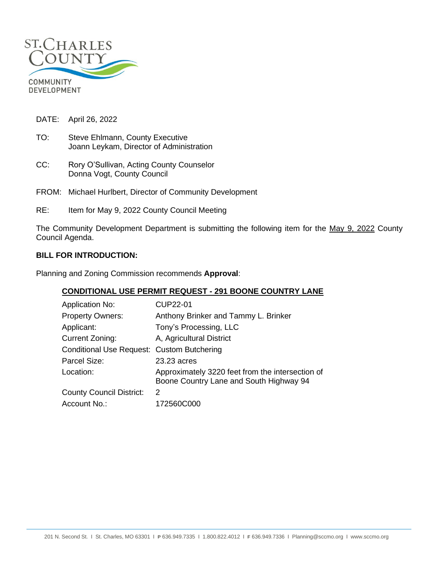

DATE: April 26, 2022

- TO: Steve Ehlmann, County Executive Joann Leykam, Director of Administration
- CC: Rory O'Sullivan, Acting County Counselor Donna Vogt, County Council
- FROM: Michael Hurlbert, Director of Community Development
- RE: Item for May 9, 2022 County Council Meeting

The Community Development Department is submitting the following item for the May 9, 2022 County Council Agenda.

### **BILL FOR INTRODUCTION:**

Planning and Zoning Commission recommends **Approval**:

#### **CONDITIONAL USE PERMIT REQUEST - 291 BOONE COUNTRY LANE**

| <b>Application No:</b>                     | <b>CUP22-01</b>                                                                             |
|--------------------------------------------|---------------------------------------------------------------------------------------------|
| <b>Property Owners:</b>                    | Anthony Brinker and Tammy L. Brinker                                                        |
| Applicant:                                 | Tony's Processing, LLC                                                                      |
| Current Zoning:                            | A, Agricultural District                                                                    |
| Conditional Use Request: Custom Butchering |                                                                                             |
| Parcel Size:                               | 23.23 acres                                                                                 |
| Location:                                  | Approximately 3220 feet from the intersection of<br>Boone Country Lane and South Highway 94 |
| <b>County Council District:</b>            | 2                                                                                           |
| Account No.:                               | 172560C000                                                                                  |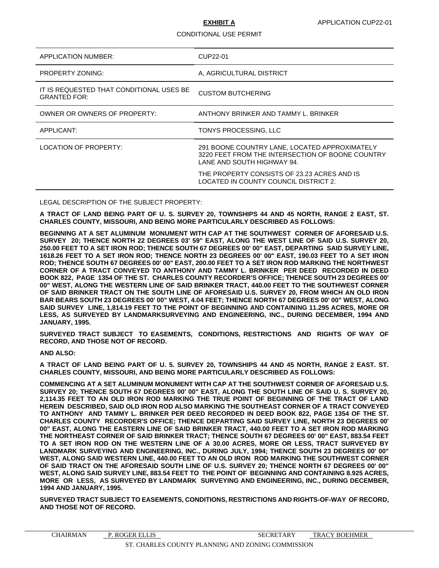#### CONDITIONAL USE PERMIT

| APPLICATION NUMBER:                                             | CUP22-01                                                                                                                        |
|-----------------------------------------------------------------|---------------------------------------------------------------------------------------------------------------------------------|
| <b>PROPERTY ZONING:</b>                                         | A, AGRICULTURAL DISTRICT                                                                                                        |
| IT IS REQUESTED THAT CONDITIONAL USES BE<br><b>GRANTED FOR:</b> | <b>CUSTOM BUTCHERING</b>                                                                                                        |
| OWNER OR OWNERS OF PROPERTY:                                    | ANTHONY BRINKER AND TAMMY L. BRINKER                                                                                            |
| APPLICANT:                                                      | TONYS PROCESSING, LLC                                                                                                           |
| LOCATION OF PROPERTY:                                           | 291 BOONE COUNTRY LANE, LOCATED APPROXIMATELY<br>3220 FEET FROM THE INTERSECTION OF BOONE COUNTRY<br>LANE AND SOUTH HIGHWAY 94. |
|                                                                 | THE PROPERTY CONSISTS OF 23.23 ACRES AND IS<br>LOCATED IN COUNTY COUNCIL DISTRICT 2.                                            |

LEGAL DESCRIPTION OF THE SUBJECT PROPERTY:

**A TRACT OF LAND BEING PART OF U. S. SURVEY 20, TOWNSHIPS 44 AND 45 NORTH, RANGE 2 EAST, ST. CHARLES COUNTY, MISSOURI, AND BEING MORE PARTICULARLY DESCRIBED AS FOLLOWS:**

**BEGINNING AT A SET ALUMINUM MONUMENT WITH CAP AT THE SOUTHWEST CORNER OF AFORESAID U.S. SURVEY 20; THENCE NORTH 22 DEGREES 03' 59" EAST, ALONG THE WEST LINE OF SAID U.S. SURVEY 20, 250.00 FEET TO A SET IRON ROD; THENCE SOUTH 67 DEGREES 00' 00" EAST, DEPARTING SAID SURVEY LINE, 1618.26 FEET TO A SET IRON ROD; THENCE NORTH 23 DEGREES 00' 00" EAST, 190.03 FEET TO A SET IRON ROD; THENCE SOUTH 67 DEGREES 00' 00" EAST, 200.00 FEET TO A SET IRON ROD MARKING THE NORTHWEST CORNER OF A TRACT CONVEYED TO ANTHONY AND TAMMY L. BRINKER PER DEED RECORDED IN DEED BOOK 822, PAGE 1354 OF THE ST. CHARLES COUNTY RECORDER'S OFFICE; THENCE SOUTH 23 DEGREES 00' 00" WEST, ALONG THE WESTERN LINE OF SAID BRINKER TRACT, 440.00 FEET TO THE SOUTHWEST CORNER OF SAID BRINKER TRACT ON THE SOUTH LINE OF AFORESAID U.S. SURVEY 20, FROM WHICH AN OLD IRON BAR BEARS SOUTH 23 DEGREES 00' 00" WEST, 4.04 FEET; THENCE NORTH 67 DEGREES 00' 00" WEST, ALONG SAID SURVEY LINE, 1,814.19 FEET TO THE POINT OF BEGINNING AND CONTAINING 11.295 ACRES, MORE OR LESS, AS SURVEYED BY LANDMARKSURVEYING AND ENGINEERING, INC., DURING DECEMBER, 1994 AND JANUARY, 1995.**

**SURVEYED TRACT SUBJECT TO EASEMENTS, CONDITIONS, RESTRICTIONS AND RIGHTS OF WAY OF RECORD, AND THOSE NOT OF RECORD.**

#### **AND ALSO:**

**A TRACT OF LAND BEING PART OF U. 5. SURVEY 20, TOWNSHIPS 44 AND 45 NORTH, RANGE 2 EAST. ST. CHARLES COUNTY, MISSOURI, AND BEING MORE PARTICULARLY DESCRIBED AS FOLLOWS:**

**COMMENCING AT A SET ALUMINUM MONUMENT WITH CAP AT THE SOUTHWEST CORNER OF AFORESAID U.S. SURVEY 20; THENCE SOUTH 67 DEGREES 00' 00" EAST, ALONG THE SOUTH LINE OF SAID U. S. SURVEY 20, 2,114.35 FEET TO AN OLD IRON ROD MARKING THE TRUE POINT OF BEGINNING OF THE TRACT OF LAND HEREIN DESCRIBED, SAID OLD IRON ROD ALSO MARKING THE SOUTHEAST CORNER OF A TRACT CONVEYED TO ANTHONY AND TAMMY L. BRINKER PER DEED RECORDED IN DEED BOOK 822, PAGE 1354 OF THE ST. CHARLES COUNTY RECORDER'S OFFICE; THENCE DEPARTING SAID SURVEY LINE, NORTH 23 DEGREES 00' 00" EAST, ALONG THE EASTERN LINE OF SAID BRINKER TRACT, 440.00 FEET TO A SET IRON ROD MARKING THE NORTHEAST CORNER OF SAID BRINKER TRACT; THENCE SOUTH 67 DEGREES 00' 00" EAST, 883.54 FEET TO A SET IRON ROD ON THE WESTERN LINE OF A 30.00 ACRES, MORE OR LESS, TRACT SURVEYED BY LANDMARK SURVEYING AND ENGINEERING, INC., DURING JULY, 1994; THENCE SOUTH 23 DEGREES 00' 00" WEST, ALONG SAID WESTERN LINE, 440.00 FEET TO AN OLD IRON ROD MARKING THE SOUTHWEST CORNER OF SAID TRACT ON THE AFORESAID SOUTH LINE OF U.S. SURVEY 20; THENCE NORTH 67 DEGREES 00' 00" WEST, ALONG SAID SURVEY LINE, 883.54 FEET TO THE POINT OF BEGINNING AND CONTAINING 8.925 ACRES, MORE OR LESS, AS SURVEYED BY LANDMARK SURVEYING AND ENGINEERING, INC., DURING DECEMBER, 1994 AND JANUARY, 1995.**

**SURVEYED TRACT SUBJECT TO EASEMENTS, CONDITIONS, RESTRICTIONS AND RIGHTS-OF-WAY OF RECORD, AND THOSE NOT OF RECORD.**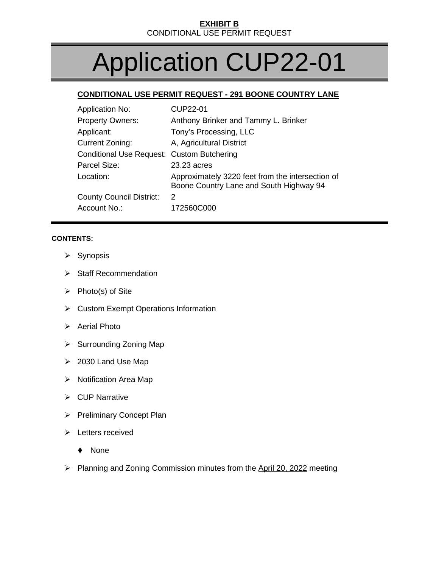# Application CUP22-01

# **CONDITIONAL USE PERMIT REQUEST - 291 BOONE COUNTRY LANE**

| <b>Application No:</b>                     | CUP22-01                                                                                    |
|--------------------------------------------|---------------------------------------------------------------------------------------------|
| <b>Property Owners:</b>                    | Anthony Brinker and Tammy L. Brinker                                                        |
| Applicant:                                 | Tony's Processing, LLC                                                                      |
| <b>Current Zoning:</b>                     | A, Agricultural District                                                                    |
| Conditional Use Request: Custom Butchering |                                                                                             |
| Parcel Size:                               | 23.23 acres                                                                                 |
| Location:                                  | Approximately 3220 feet from the intersection of<br>Boone Country Lane and South Highway 94 |
| <b>County Council District:</b>            | $\mathcal{P}$                                                                               |
| Account No.:                               | 172560C000                                                                                  |

### **CONTENTS:**

- $\triangleright$  Synopsis
- $\triangleright$  Staff Recommendation
- $\triangleright$  Photo(s) of Site
- ▶ Custom Exempt Operations Information
- $\triangleright$  Aerial Photo
- $\triangleright$  Surrounding Zoning Map
- $\geq$  2030 Land Use Map
- $\triangleright$  Notification Area Map
- $\triangleright$  CUP Narrative
- Preliminary Concept Plan
- $\triangleright$  Letters received
	- ◆ None
- $\triangleright$  Planning and Zoning Commission minutes from the April 20, 2022 meeting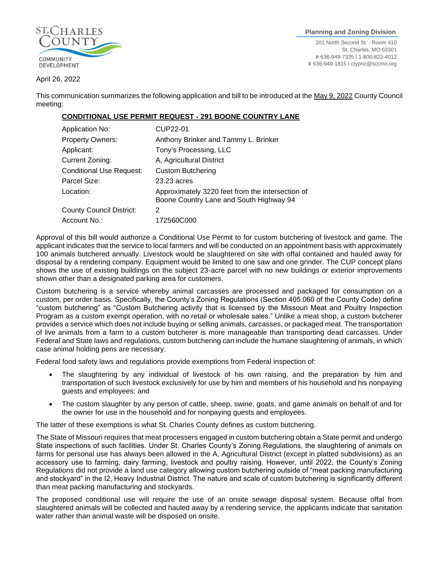

#### April 26, 2022

This communication summarizes the following application and bill to be introduced at the May 9, 2022 County Council meeting:

### **CONDITIONAL USE PERMIT REQUEST - 291 BOONE COUNTRY LANE**

| <b>Application No:</b>          | CUP22-01                                                                                    |
|---------------------------------|---------------------------------------------------------------------------------------------|
| <b>Property Owners:</b>         | Anthony Brinker and Tammy L. Brinker                                                        |
| Applicant:                      | Tony's Processing, LLC                                                                      |
| Current Zoning:                 | A, Agricultural District                                                                    |
| <b>Conditional Use Request:</b> | <b>Custom Butchering</b>                                                                    |
| Parcel Size:                    | 23.23 acres                                                                                 |
| Location:                       | Approximately 3220 feet from the intersection of<br>Boone Country Lane and South Highway 94 |
| <b>County Council District:</b> | 2                                                                                           |
| Account No.:                    | 172560C000                                                                                  |

Approval of this bill would authorize a Conditional Use Permit to for custom butchering of livestock and game. The applicant indicates that the service to local farmers and will be conducted on an appointment basis with approximately 100 animals butchered annually. Livestock would be slaughtered on site with offal contained and hauled away for disposal by a rendering company. Equipment would be limited to one saw and one grinder. The CUP concept plans shows the use of existing buildings on the subject 23-acre parcel with no new buildings or exterior improvements shown other than a designated parking area for customers.

Custom butchering is a service whereby animal carcasses are processed and packaged for consumption on a custom, per order basis. Specifically, the County's Zoning Regulations (Section 405.060 of the County Code) define "custom butchering" as "Custom Butchering activity that is licensed by the Missouri Meat and Poultry Inspection Program as a custom exempt operation, with no retail or wholesale sales." Unlike a meat shop, a custom butcherer provides a service which does not include buying or selling animals, carcasses, or packaged meat. The transportation of live animals from a farm to a custom butcherer is more manageable than transporting dead carcasses. Under Federal and State laws and regulations, custom butchering can include the humane slaughtering of animals, in which case animal holding pens are necessary.

Federal food safety laws and regulations provide exemptions from Federal inspection of:

- The slaughtering by any individual of livestock of his own raising, and the preparation by him and transportation of such livestock exclusively for use by him and members of his household and his nonpaying guests and employees; and
- The custom slaughter by any person of cattle, sheep, swine, goats, and game animals on behalf of and for the owner for use in the household and for nonpaying guests and employees.

The latter of these exemptions is what St. Charles County defines as custom butchering.

The State of Missouri requires that meat processers engaged in custom butchering obtain a State permit and undergo State inspections of such facilities. Under St. Charles County's Zoning Regulations, the slaughtering of animals on farms for personal use has always been allowed in the A, Agricultural District (except in platted subdivisions) as an accessory use to farming, dairy farming, livestock and poultry raising. However, until 2022, the County's Zoning Regulations did not provide a land use category allowing custom butchering outside of "meat packing manufacturing and stockyard" in the I2, Heavy Industrial District. The nature and scale of custom butchering is significantly different than meat packing manufacturing and stockyards.

The proposed conditional use will require the use of an onsite sewage disposal system. Because offal from slaughtered animals will be collected and hauled away by a rendering service, the applicants indicate that sanitation water rather than animal waste will be disposed on onsite.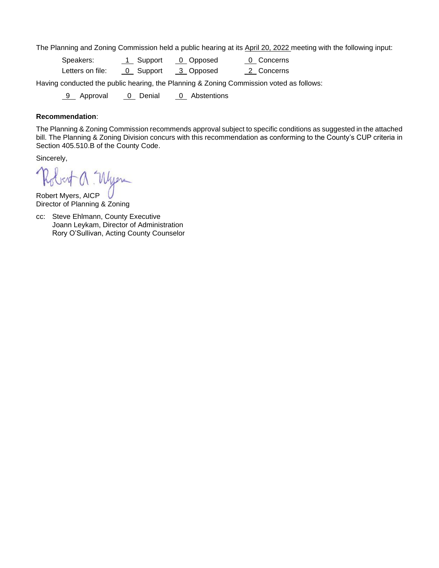The Planning and Zoning Commission held a public hearing at its April 20, 2022 meeting with the following input:

| Speakers:        | 1 Support | 0 Opposed | <u>0</u> Concerns |  |
|------------------|-----------|-----------|-------------------|--|
| Letters on file: | 0 Support | 3 Opposed | 2 Concerns        |  |

Having conducted the public hearing, the Planning & Zoning Commission voted as follows:

9 Approval 0 Denial 0 Abstentions

#### **Recommendation**:

The Planning & Zoning Commission recommends approval subject to specific conditions as suggested in the attached bill. The Planning & Zoning Division concurs with this recommendation as conforming to the County's CUP criteria in Section 405.510.B of the County Code.

Sincerely,

Robert Myers, AICP Director of Planning & Zoning

cc: Steve Ehlmann, County Executive Joann Leykam, Director of Administration Rory O'Sullivan, Acting County Counselor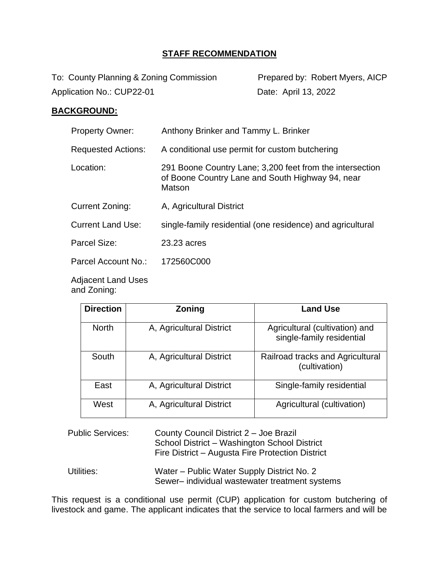# **STAFF RECOMMENDATION**

To: County Planning & Zoning Commission Prepared by: Robert Myers, AICP Application No.: CUP22-01 Date: April 13, 2022

## **BACKGROUND:**

| <b>Property Owner:</b>    | Anthony Brinker and Tammy L. Brinker                                                                                   |
|---------------------------|------------------------------------------------------------------------------------------------------------------------|
| <b>Requested Actions:</b> | A conditional use permit for custom butchering                                                                         |
| Location:                 | 291 Boone Country Lane; 3,200 feet from the intersection<br>of Boone Country Lane and South Highway 94, near<br>Matson |
| Current Zoning:           | A, Agricultural District                                                                                               |
| <b>Current Land Use:</b>  | single-family residential (one residence) and agricultural                                                             |
| Parcel Size:              | 23.23 acres                                                                                                            |
| Parcel Account No.:       | 172560C000                                                                                                             |

Adjacent Land Uses and Zoning:

| <b>Direction</b> | <b>Zoning</b>            | <b>Land Use</b>                                             |
|------------------|--------------------------|-------------------------------------------------------------|
| <b>North</b>     | A, Agricultural District | Agricultural (cultivation) and<br>single-family residential |
| South            | A, Agricultural District | Railroad tracks and Agricultural<br>(cultivation)           |
| East             | A, Agricultural District | Single-family residential                                   |
| West             | A, Agricultural District | Agricultural (cultivation)                                  |

| <b>Public Services:</b> | County Council District 2 - Joe Brazil<br>School District - Washington School District<br>Fire District – Augusta Fire Protection District |
|-------------------------|--------------------------------------------------------------------------------------------------------------------------------------------|
| Utilities:              | Water – Public Water Supply District No. 2                                                                                                 |

This request is a conditional use permit (CUP) application for custom butchering of livestock and game. The applicant indicates that the service to local farmers and will be

Sewer– individual wastewater treatment systems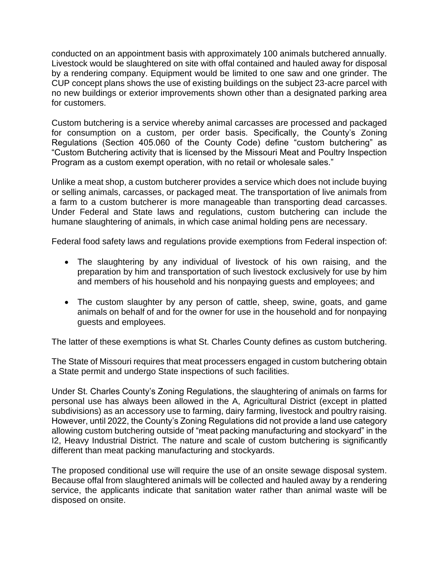conducted on an appointment basis with approximately 100 animals butchered annually. Livestock would be slaughtered on site with offal contained and hauled away for disposal by a rendering company. Equipment would be limited to one saw and one grinder. The CUP concept plans shows the use of existing buildings on the subject 23-acre parcel with no new buildings or exterior improvements shown other than a designated parking area for customers.

Custom butchering is a service whereby animal carcasses are processed and packaged for consumption on a custom, per order basis. Specifically, the County's Zoning Regulations (Section 405.060 of the County Code) define "custom butchering" as "Custom Butchering activity that is licensed by the Missouri Meat and Poultry Inspection Program as a custom exempt operation, with no retail or wholesale sales."

Unlike a meat shop, a custom butcherer provides a service which does not include buying or selling animals, carcasses, or packaged meat. The transportation of live animals from a farm to a custom butcherer is more manageable than transporting dead carcasses. Under Federal and State laws and regulations, custom butchering can include the humane slaughtering of animals, in which case animal holding pens are necessary.

Federal food safety laws and regulations provide exemptions from Federal inspection of:

- The slaughtering by any individual of livestock of his own raising, and the preparation by him and transportation of such livestock exclusively for use by him and members of his household and his nonpaying guests and employees; and
- The custom slaughter by any person of cattle, sheep, swine, goats, and game animals on behalf of and for the owner for use in the household and for nonpaying guests and employees.

The latter of these exemptions is what St. Charles County defines as custom butchering.

The State of Missouri requires that meat processers engaged in custom butchering obtain a State permit and undergo State inspections of such facilities.

Under St. Charles County's Zoning Regulations, the slaughtering of animals on farms for personal use has always been allowed in the A, Agricultural District (except in platted subdivisions) as an accessory use to farming, dairy farming, livestock and poultry raising. However, until 2022, the County's Zoning Regulations did not provide a land use category allowing custom butchering outside of "meat packing manufacturing and stockyard" in the I2, Heavy Industrial District. The nature and scale of custom butchering is significantly different than meat packing manufacturing and stockyards.

The proposed conditional use will require the use of an onsite sewage disposal system. Because offal from slaughtered animals will be collected and hauled away by a rendering service, the applicants indicate that sanitation water rather than animal waste will be disposed on onsite.